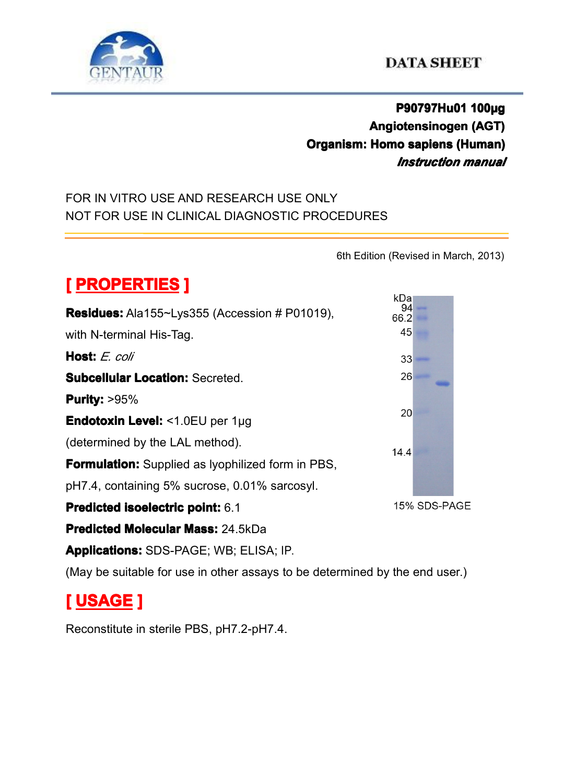

## **P90797Hu01 P90797Hu01P90797Hu01 100µg Angiotensinogen (AGT) Organism: Organism: Homo sapiens sapiens sapienssapiens(Human) (Human)** *Instruction manual*

### FOR IN VITRO USE AND RESEARCH USE ONLY NOT FOR USE IN CLINICAL DIAGNOSTIC PROCEDURES

6th Edition (Revised in March, 2013)

# $[$  **PROPERTIES P**

|                                                                             | kDa          |
|-----------------------------------------------------------------------------|--------------|
| Residues: Ala155~Lys355 (Accession # P01019),                               | 94<br>66.2   |
| with N-terminal His-Tag.                                                    | 45           |
| <b>Host:</b> E. coli                                                        | 33           |
| <b>Subcellular Location: Secreted.</b>                                      | 26           |
| <b>Purity: &gt;95%</b>                                                      |              |
| <b>Endotoxin Level: &lt;1.0EU per 1µg</b>                                   | 20           |
| (determined by the LAL method).                                             | 14.4         |
| <b>Formulation:</b> Supplied as Iyophilized form in PBS,                    |              |
| pH7.4, containing 5% sucrose, 0.01% sarcosyl.                               |              |
| Predicted isoelectric point: 6.1                                            | 15% SDS-PAGE |
| <b>Predicted Molecular Mass: 24.5kDa</b>                                    |              |
| <b>Applications: SDS-PAGE; WB; ELISA; IP.</b>                               |              |
| (May be suitable for use in other assays to be determined by the end user.) |              |

## **[ USAGE ]**

Reconstitute in sterile PBS, pH7.2-pH7.4.